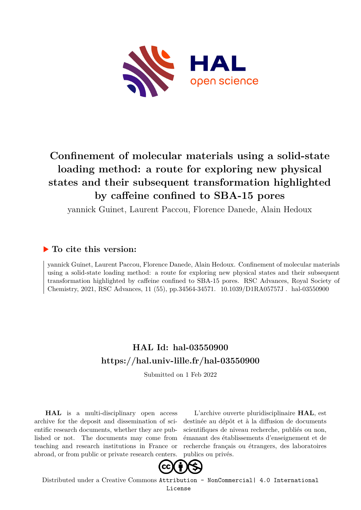

# **Confinement of molecular materials using a solid-state loading method: a route for exploring new physical states and their subsequent transformation highlighted by caffeine confined to SBA-15 pores**

yannick Guinet, Laurent Paccou, Florence Danede, Alain Hedoux

# **To cite this version:**

yannick Guinet, Laurent Paccou, Florence Danede, Alain Hedoux. Confinement of molecular materials using a solid-state loading method: a route for exploring new physical states and their subsequent transformation highlighted by caffeine confined to SBA-15 pores. RSC Advances, Royal Society of Chemistry, 2021, RSC Advances, 11 (55), pp.34564-34571. 10.1039/D1RA05757J. hal-03550900

# **HAL Id: hal-03550900 <https://hal.univ-lille.fr/hal-03550900>**

Submitted on 1 Feb 2022

**HAL** is a multi-disciplinary open access archive for the deposit and dissemination of scientific research documents, whether they are published or not. The documents may come from teaching and research institutions in France or abroad, or from public or private research centers.

L'archive ouverte pluridisciplinaire **HAL**, est destinée au dépôt et à la diffusion de documents scientifiques de niveau recherche, publiés ou non, émanant des établissements d'enseignement et de recherche français ou étrangers, des laboratoires publics ou privés.



Distributed under a Creative Commons [Attribution - NonCommercial| 4.0 International](http://creativecommons.org/licenses/by-nc/4.0/) [License](http://creativecommons.org/licenses/by-nc/4.0/)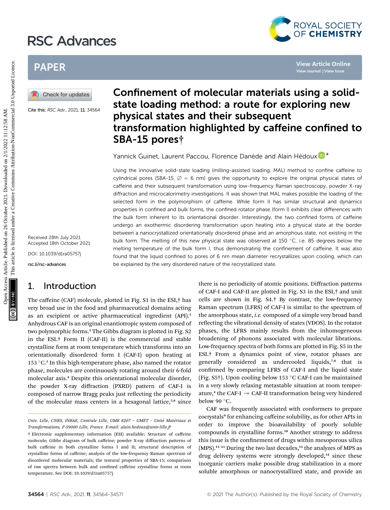# RSC Advances



# PAPER



Cite this: RSC Adv., 2021, 11, 34564

Received 28th July 2021 Accepted 18th October 2021

DOI: 10.1039/d1ra05757j

rsc.li/rsc-advances

### 1. Introduction

The caffeine (CAF) molecule, plotted in Fig. S1 in the ESI,† has very broad use in the food and pharmaceutical domains acting as an excipient or active pharmaceutical ingredient (API).<sup>1</sup> Anhydrous CAF is an original enantiotropic system composed of two polymorphic forms.<sup>2</sup> The Gibbs diagram is plotted in Fig. S2 in the ESI.† Form II (CAF-II) is the commercial and stable crystalline form at room temperature which transforms into an orientationally disordered form I (CAF-I) upon heating at 153 °C.<sup>3</sup> In this high-temperature phase, also named the rotator phase, molecules are continuously rotating around their 6-fold molecular axis.<sup>4</sup> Despite this orientational molecular disorder, the powder X-ray diffraction (PXRD) pattern of CAF-I is composed of narrow Bragg peaks just reflecting the periodicity of the molecular mass centers in a hexagonal lattice,<sup>5,6</sup> since

# Confinement of molecular materials using a solidstate loading method: a route for exploring new physical states and their subsequent transformation highlighted by caffeine confined to SBA-15 pores†

Yannick Guinet, Laurent Paccou, Florence Danède and Alain Hédou[x](http://orcid.org/0000-0002-8244-3512)  $\mathbf{\mathbb{D}}^{\star}$ 

Using the innovative solid-state loading (milling-assisted loading, MAL) method to confine caffeine to cylindrical pores (SBA-15,  $\varnothing = 6$  nm) gives the opportunity to explore the original physical states of caffeine and their subsequent transformation using low-frequency Raman spectroscopy, powder X-ray diffraction and microcalorimetry investigations. It was shown that MAL makes possible the loading of the selected form in the polymorphism of caffeine. While form II has similar structural and dynamics properties in confined and bulk forms, the confined rotator phase (form I) exhibits clear differences with the bulk form inherent to its orientational disorder. Interestingly, the two confined forms of caffeine undergo an exothermic disordering transformation upon heating into a physical state at the border between a nanocrystallized orientationally disordered phase and an amorphous state, not existing in the bulk form. The melting of this new physical state was observed at 150  $^{\circ}$ C, *i.e.* 85 degrees below the melting temperature of the bulk form I, thus demonstrating the confinement of caffeine. It was also found that the liquid confined to pores of 6 nm mean diameter recrystallizes upon cooling, which can be explained by the very disordered nature of the recrystallized state. PAPER<br>
Confinement of molecular materials using a solicity of the state is a solicity of the state in the state in the state of the state is a solicity of the state in the state is a solicity of the state in the state is

there is no periodicity of atomic positions. Diffraction patterns of CAF-I and CAF-II are plotted in Fig. S3 in the ESI,† and unit cells are shown in Fig. S4.† By contrast, the low-frequency Raman spectrum (LFRS) of CAF-I is similar to the spectrum of the amorphous state, *i.e.* composed of a simple very broad band reflecting the vibrational density of states (VDOS). In the rotator phases, the LFRS mainly results from the inhomogeneous broadening of phonons associated with molecular librations. Low-frequency spectra of both forms are plotted in Fig. S5 in the ESI.† From a dynamics point of view, rotator phases are generally considered as undercooled liquids,<sup>7,8</sup> that is confirmed by comparing LFRS of CAF-I and the liquid state (Fig. S5†). Upon cooling below 153 °C CAF-I can be maintained in a very slowly relaxing metastable situation at room temperature,<sup>4</sup> the CAF-I  $\rightarrow$  CAF-II transformation being very hindered below 90  $^{\circ}$ C.

CAF was frequently associated with conformers to prepare cocrystals<sup>9</sup> for enhancing caffeine solubility, as for other APIs in order to improve the bioavailability of poorly soluble compounds in crystalline forms.<sup>10</sup> Another strategy to address this issue is the confinement of drugs within mesoporous silica  $(MPS).$ <sup>11-13</sup> During the two last decades,<sup>13</sup> the analyzes of MPS as drug delivery systems were strongly developed,<sup>14</sup> since these inorganic carriers make possible drug stabilization in a more soluble amorphous or nanocrystallized state, and provide an

Univ. Lille, CNRS, INRAE, Centrale Lille, UMR 8207 - UMET - Unité Matériaux et Transformations, F-59000 Lille, France. E-mail: alain.hedoux@univ-lille.fr

<sup>†</sup> Electronic supplementary information (ESI) available: Structure of caffeine molecule; Gibbs diagram of bulk caffeine; powder X-ray diffraction patterns of bulk caffeine in both crystalline forms I and II; structural description of crystalline forms of caffeine; analysis of the low-frequency Raman spectrum of disordered molecular materials; the textural properties of SBA-15; comparison of raw spectra between bulk and confined caffeine crystalline forms at room temperature. See DOI: 10.1039/d1ra05757j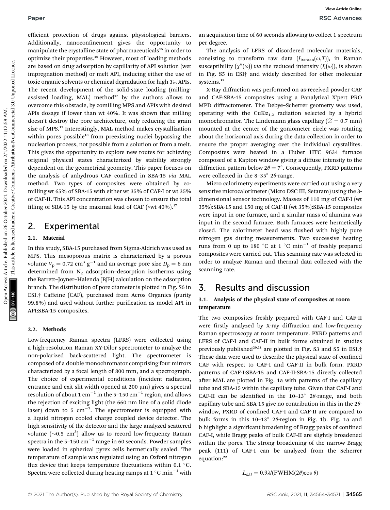efficient protection of drugs against physiological barriers. Additionally, nanoconfinement gives the opportunity to manipulate the crystalline state of pharmaceuticals<sup>15</sup> in order to optimize their properties.<sup>16</sup> However, most of loading methods are based on drug adsorption by capillarity of API solution (wet impregnation method) or melt API, inducing either the use of toxic organic solvents or chemical degradation for high  $T<sub>m</sub>$  APIs. The recent development of the solid-state loading (millingassisted loading, MAL) method $17$  by the authors allows to overcome this obstacle, by comilling MPS and APIs with desired APIs dosage if lower than wt 40%. It was shown that milling doesn't destroy the pore architecture, only reducing the grain size of MPS.<sup>17</sup> Interestingly, MAL method makes crystallization within pores possible<sup>18</sup> from preexisting nuclei bypassing the nucleation process, not possible from a solution or from a melt. This gives the opportunity to explore new routes for achieving original physical states characterized by stability strongly dependent on the geometrical geometry. This paper focuses on the analysis of anhydrous CAF confined in SBA-15 via MAL method. Two types of composites were obtained by comilling wt 65% of SBA-15 with either wt 35% of CAF-I or wt 35% of CAF-II. This API concentration was chosen to ensure the total filling of SBA-15 by the maximal load of CAF ( $\leq$ wt 40%).<sup>17</sup> Public interior of drugs against physiological barriers. an acquision time of 90 seconds allowing coollect a perturbution of the material on 26 October 2021. Downloaded the material on 2021. The material on the cool of the

## 2. Experimental

#### 2.1. Material

In this study, SBA-15 purchased from Sigma-Aldrich was used as MPS. This mesoporous matrix is characterized by a porous volume  $V_p = 0.72$  cm<sup>3</sup> g<sup>-1</sup> and an average pore size  $D_p = 6$  nm determined from  $N_2$  adsorption–desorption isotherms using the Barrett–Joyner–Halenda (BJH) calculation on the adsorption branch. The distribution of pore diameter is plotted in Fig. S6 in ESI.† Caffeine (CAF), purchased from Acros Organics (purity 99.8%) and used without further purification as model API in API:SBA-15 composites.

#### 2.2. Methods

Low-frequency Raman spectra (LFRS) were collected using a high-resolution Raman XY-Dilor spectrometer to analyze the non-polarized back-scattered light. The spectrometer is composed of a double monochromator comprising four mirrors characterized by a focal length of 800 mm, and a spectrograph. The choice of experimental conditions (incident radiation, entrance and exit slit width opened at 200  $\mu$ m) gives a spectral resolution of about 1 cm<sup>-1</sup> in the 5-150 cm<sup>-1</sup> region, and allows the rejection of exciting light (the 660 nm line of a solid diode laser) down to 5  $cm^{-1}$ . The spectrometer is equipped with a liquid nitrogen cooled charge coupled device detector. The high sensitivity of the detector and the large analyzed scattered volume  $({\sim}0.5\,$  cm $^3)$  allow us to record low-frequency Raman spectra in the  $5-150$  cm<sup>-1</sup> range in 60 seconds. Powder samples were loaded in spherical pyrex cells hermetically sealed. The temperature of sample was regulated using an Oxford nitrogen flux device that keeps temperature fluctuations within 0.1  $^{\circ}$ C. Spectra were collected during heating ramps at 1  $^{\circ}\mathrm{C}\,\mathrm{min}^{-1}$  with

an acquisition time of 60 seconds allowing to collect 1 spectrum per degree.

The analysis of LFRS of disordered molecular materials, consisting to transform raw data  $(I_{\text{Raman}}(\omega,T))$ , in Raman susceptibility  $(\chi''(\omega))$  via the reduced intensity  $(I_r(\omega))$ , is shown in Fig. S5 in ESI† and widely described for other molecular systems.<sup>19</sup>

X-Ray diffraction was performed on as-received powder CAF and CAF:SBA-15 composites using a Panalytical X'pert PRO MPD diffractometer. The Debye–Scherrer geometry was used, operating with the CuK $\alpha_{1,2}$  radiation selected by a hybrid monochromator. The Lindemann glass capillary ( $\varnothing$  = 0.7 mm) mounted at the center of the goniometer circle was rotating about the horizontal axis during the data collection in order to ensure the proper averaging over the individual crystallites. Composites were heated in a Huber HTC 9634 furnace composed of a Kapton window giving a diffuse intensity to the diffraction pattern below  $2\theta = 7^\circ$ . Consequently, PXRD patterns were collected in the 8–35 $^{\circ}$  2 $\theta$ -range.

Micro calorimetry experiments were carried out using a very sensitive microcalorimeter (Micro DSC III, Setaram) using the 3 dimensional sensor technology. Masses of 110 mg of CAF-I (wt 35%):SBA-15 and 150 mg of CAF-II (wt 35%):SBA-15 composites were input in one furnace, and a similar mass of alumina was input in the second furnace. Both furnaces were hermetically closed. The calorimeter head was flushed with highly pure nitrogen gas during measurements. Two successive heating runs from 0 up to 180  $^{\circ}$ C at 1  $^{\circ}$ C min<sup>-1</sup> of freshly prepared composites were carried out. This scanning rate was selected in order to analyze Raman and thermal data collected with the scanning rate.

## 3. Results and discussion

### 3.1. Analysis of the physical state of composites at room temperature

The two composites freshly prepared with CAF-I and CAF-II were firstly analyzed by X-ray diffraction and low-frequency Raman spectroscopy at room temperature. PXRD patterns and LFRS of CAF-I and CAF-II in bulk forms obtained in studies previously published<sup>20,21</sup> are plotted in Fig. S3 and S5 in ESI.<sup>†</sup> These data were used to describe the physical state of confined CAF with respect to CAF-I and CAF-II in bulk form. PXRD patterns of CAF-I:SBA-15 and CAF-II:SBA-15 directly collected after MAL are plotted in Fig. 1a with patterns of the capillary tube and SBA-15 within the capillary tube. Given that CAF-I and CAF-II can be identified in the  $10-13°$   $2\theta$ -range, and both capillary tube and SBA-15 give no contribution in this in the  $2\theta$ window, PXRD of confined CAF-I and CAF-II are compared to bulk forms in this 10–13 $^{\circ}$  2 $\theta$ -region in Fig. 1b. Fig. 1a and b highlight a significant broadening of Bragg peaks of confined CAF-I, while Bragg peaks of bulk CAF-II are slightly broadened within the pores. The strong broadening of the narrow Bragg peak (111) of CAF-I can be analyzed from the Scherrer equation:<sup>22</sup>

$$
L_{hkl} = 0.9 \lambda / (\mathrm{FWHM}(2\theta)\cos\theta)
$$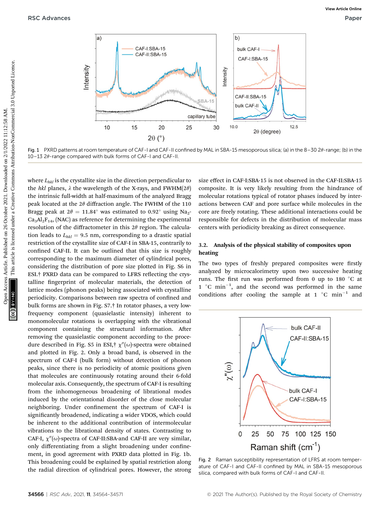

Fig. 1 PXRD patterns at room temperature of CAF-I and CAF-II confined by MAL in SBA-15 mesoporous silica; (a) in the 8-30 20-range; (b) in the  $10-13$   $2\theta$ -range compared with bulk forms of CAF-I and CAF-II.

where  $L_{hkl}$  is the crystallite size in the direction perpendicular to the hkl planes,  $\lambda$  the wavelength of the X-rays, and FWHM(2 $\theta$ ) the intrinsic full-width at half-maximum of the analyzed Bragg peak located at the  $2\theta$  diffraction angle. The FWHM of the 110 Bragg peak at  $2\theta = 11.84^\circ$  was estimated to  $0.92^\circ$  using Na<sub>2</sub>- $Ca<sub>3</sub>Al<sub>2</sub>F<sub>14</sub>$ , (NAC) as reference for determining the experimental resolution of the diffractometer in this  $2\theta$  region. The calculation leads to  $L_{hkl} = 9.5$  nm, corresponding to a drastic spatial restriction of the crystallite size of CAF-I in SBA-15, contrarily to confined CAF-II. It can be outlined that this size is roughly corresponding to the maximum diameter of cylindrical pores, considering the distribution of pore size plotted in Fig. S6 in ESI.<sup>†</sup> PXRD data can be compared to LFRS reflecting the crystalline fingerprint of molecular materials, the detection of lattice modes (phonon peaks) being associated with crystalline periodicity. Comparisons between raw spectra of confined and bulk forms are shown in Fig. S7.† In rotator phases, a very lowfrequency component (quasielastic intensity) inherent to monomolecular rotations is overlapping with the vibrational component containing the structural information. After removing the quasielastic component according to the procedure described in Fig. S5 in ESI,  $\gamma''(\omega)$ -spectra were obtained and plotted in Fig. 2. Only a broad band, is observed in the spectrum of CAF-I (bulk form) without detection of phonon peaks, since there is no periodicity of atomic positions given that molecules are continuously rotating around their 6-fold molecular axis. Consequently, the spectrum of CAF-I is resulting from the inhomogeneous broadening of librational modes induced by the orientational disorder of the close molecular neighboring. Under confinement the spectrum of CAF-I is significantly broadened, indicating a wider VDOS, which could be inherent to the additional contribution of intermolecular vibrations to the librational density of states. Contrasting to CAF-I,  $\chi''(\omega)$ -spectra of CAF-II:SBA-and CAF-II are very similar, only differentiating from a slight broadening under confinement, in good agreement with PXRD data plotted in Fig. 1b. This broadening could be explained by spatial restriction along the radial direction of cylindrical pores. However, the strong size effect in CAF-I:SBA-15 is not observed in the CAF-II:SBA-15 composite. It is very likely resulting from the hindrance of molecular rotations typical of rotator phases induced by interactions between CAF and pore surface while molecules in the core are freely rotating. These additional interactions could be responsible for defects in the distribution of molecular mass centers with periodicity breaking as direct consequence.

#### 3.2. Analysis of the physical stability of composites upon heating

The two types of freshly prepared composites were firstly analyzed by microcalorimetry upon two successive heating runs. The first run was performed from 0 up to 180  $^{\circ}$ C at  $1 \degree C \text{ min}^{-1}$ , and the second was performed in the same conditions after cooling the sample at 1  $^{\circ}$ C min<sup>-1</sup> and



Fig. 2 Raman susceptibility representation of LFRS at room temperature of CAF-I and CAF-II confined by MAL in SBA-15 mesoporous silica, compared with bulk forms of CAF-I and CAF-II.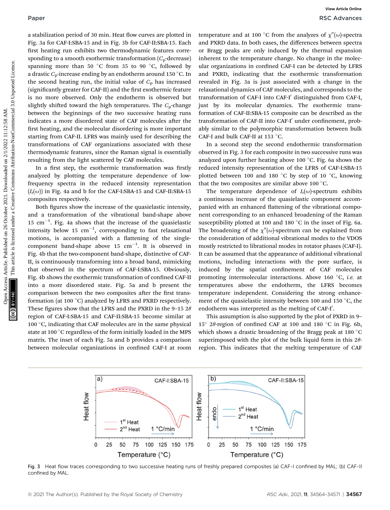a stabilization period of 30 min. Heat flow curves are plotted in Fig. 3a for CAF-I:SBA-15 and in Fig. 3b for CAF-II:SBA-15. Each first heating run exhibits two thermodynamic features corresponding to a smooth exothermic transformation  $(C_p$ -decrease) spanning more than 50  $^{\circ}{\rm C}$  from 35 to 90  $^{\circ}{\rm C,}$  followed by a drastic  $C_{\rm p}$ -increase ending by an endotherm around 150 °C. In the second heating run, the initial value of  $C_p$  has increased (significantly greater for CAF-II) and the first exothermic feature is no more observed. Only the endotherm is observed but slightly shifted toward the high temperatures. The  $C_p$ -change between the beginnings of the two successive heating runs indicates a more disordered state of CAF molecules after the first heating, and the molecular disordering is more important starting from CAF-II. LFRS was mainly used for describing the transformations of CAF organizations associated with these thermodynamic features, since the Raman signal is essentially resulting from the light scattered by CAF molecules. Paper<br> **Secrets Articles** Articles. The interaction of the simple temperature and at 50 °C from the analyzes of  $\chi^{\prime}(u)$  experimentation of the simple temperature of the simple temperature commonline temperature operati

In a first step, the exothermic transformation was firstly analyzed by plotting the temperature dependence of lowfrequency spectra in the reduced intensity representation  $(I_r(\omega))$  in Fig. 4a and b for the CAF-I:SBA-15 and CAF-II:SBA-15 composites respectively.

Both figures show the increase of the quasielastic intensity, and a transformation of the vibrational band-shape above  $15 \text{ cm}^{-1}$ . Fig. 4a shows that the increase of the quasielastic intensity below 15  $\text{cm}^{-1}$ , corresponding to fast relaxational motions, is accompanied with a flattening of the singlecomponent band-shape above 15  $cm^{-1}$ . It is observed in Fig. 4b that the two-component band-shape, distinctive of CAF-II, is continuously transforming into a broad band, mimicking that observed in the spectrum of CAF-I:SBA-15. Obviously, Fig. 4b shows the exothermic transformation of confined CAF-II into a more disordered state. Fig. 5a and b present the comparison between the two composites after the first transformation (at 100  $^{\circ} \mathrm{C})$  analyzed by LFRS and PXRD respectively. These figures show that the LFRS and the PXRD in the 9-15  $2\theta$ region of CAF-I:SBA-15 and CAF-II:SBA-15 become similar at 100  $\mathrm{^{\circ}C},$  indicating that CAF molecules are in the same physical state at 100  $^{\circ} \mathrm{C}$  regardless of the form initially loaded in the MPS matrix. The inset of each Fig. 5a and b provides a comparison between molecular organizations in confined CAF-I at room

temperature and at 100 °C from the analyzes of  $\chi''(\omega)$ -spectra and PXRD data. In both cases, the differences between spectra or Bragg peaks are only induced by the thermal expansion inherent to the temperature change. No change in the molecular organizations in confined CAF-I can be detected by LFRS and PXRD, indicating that the exothermic transformation revealed in Fig. 3a is just associated with a change in the relaxational dynamics of CAF molecules, and corresponds to the transformation of CAF-I into CAF-I' distinguished from CAF-I, just by its molecular dynamics. The exothermic transformation of CAF-II:SBA-15 composite can be described as the transformation of CAF-II into CAF-I' under confinement, probably similar to the polymorphic transformation between bulk CAF-I and bulk CAF-II at 153  $^{\circ}$ C.

In a second step the second endothermic transformation observed in Fig. 3 for each composite in two successive runs was analyzed upon further heating above 100  $^\circ{\rm C}.$  Fig. 6a shows the reduced intensity representation of the LFRS of CAF-I:SBA-15 plotted between 100 and 180  $^{\circ}$ C by step of 10  $^{\circ}$ C, knowing that the two composites are similar above 100  $^{\circ}$ C.

The temperature dependence of  $I_r(\omega)$ -spectrum exhibits a continuous increase of the quasielastic component accompanied with an enhanced flattening of the vibrational component corresponding to an enhanced broadening of the Raman susceptibility plotted at 100 and 180  $\mathrm{^{\circ}C}$  in the inset of Fig. 6a. The broadening of the  $\chi''(\omega)$ -spectrum can be explained from the consideration of additional vibrational modes to the VDOS mostly restricted to librational modes in rotator phases (CAF-I). It can be assumed that the appearance of additional vibrational motions, including interactions with the pore surface, is induced by the spatial confinement of CAF molecules promoting intermolecular interactions. Above 160 °C, *i.e.* at temperatures above the endotherm, the LFRS becomes temperature independent. Considering the strong enhancement of the quasielastic intensity between 100 and 150  $^{\circ}$ C, the endotherm was interpreted as the melting of CAF-I'.

This assumption is also supported by the plot of PXRD in 9– 15° 2 $\theta$ -region of confined CAF at 100 and 180 °C in Fig. 6b, which shows a drastic broadening of the Bragg peak at 180  $^{\circ}\mathrm{C}$ superimposed with the plot of the bulk liquid form in this  $2\theta$ region. This indicates that the melting temperature of CAF



Fig. 3 Heat flow traces corresponding to two successive heating runs of freshly prepared composites (a) CAF-I confined by MAL; (b) CAF-II confined by MAL.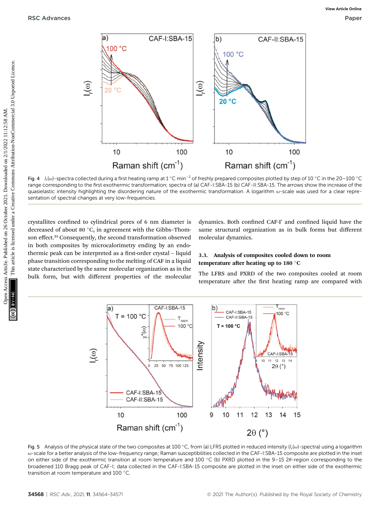

Fig. 4  $\,$  I<sub>r</sub>(ω)-spectra collected during a first heating ramp at 1 °C min $^{-1}$  of freshly prepared composites plotted by step of 10 °C in the 20—100 °C range corresponding to the first exothermic transformation; spectra of (a) CAF-I:SBA-15 (b) CAF-II:SBA-15. The arrows show the increase of the quasielastic intensity highlighting the disordering nature of the exothermic transformation. A logarithm  $\omega$ -scale was used for a clear representation of spectral changes at very low-frequencies.

crystallites confined to cylindrical pores of 6 nm diameter is decreased of about 80  $^{\circ}$ C, in agreement with the Gibbs–Thomson effect.<sup>23</sup> Consequently, the second transformation observed in both composites by microcalorimetry ending by an endothermic peak can be interpreted as a first-order crystal – liquid phase transition corresponding to the melting of CAF in a liquid state characterized by the same molecular organization as in the bulk form, but with different properties of the molecular

dynamics. Both confined CAF-I' and confined liquid have the same structural organization as in bulk forms but different molecular dynamics.

### 3.3. Analysis of composites cooled down to room temperature after heating up to 180  $^{\circ}{\rm C}$

The LFRS and PXRD of the two composites cooled at room temperature after the first heating ramp are compared with



Fig. 5 Analysis of the physical state of the two composites at 100 °C, from (a) LFRS plotted in reduced intensity ( $I_r(\omega)$ -spectra) using a logarithm u-scale for a better analysis of the low-frequency range; Raman susceptibilities collected in the CAF-I:SBA-15 composite are plotted in the inset on either side of the exothermic transition at room temperature and 100 °C (b) PXRD plotted in the 9–15 20-region corresponding to the broadened 110 Bragg peak of CAF-I; data collected in the CAF-I:SBA-15 composite are plotted in the inset on either side of the exothermic transition at room temperature and 100  $^{\circ}$ C.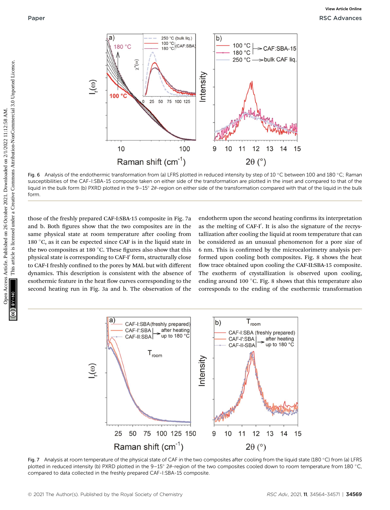

Fig. 6  $\,$  Analysis of the endothermic transformation from (a) LFRS plotted in reduced intensity by step of 10  $^{\circ}$ C between 100 and 180  $^{\circ}$ C; Raman susceptibilities of the CAF-I:SBA-15 composite taken on either side of the transformation are plotted in the inset and compared to that of the liquid in the bulk form (b) PXRD plotted in the 9–15° 2 $\theta$ -region on either side of the transformation compared with that of the liquid in the bulk form.

those of the freshly prepared CAF-I:SBA-15 composite in Fig. 7a and b. Both figures show that the two composites are in the same physical state at room temperature after cooling from 180  $\degree$ C, as it can be expected since CAF is in the liquid state in the two composites at 180  $^{\circ}$ C. These figures also show that this physical state is corresponding to CAF-I' form, structurally close to CAF-I freshly confined to the pores by MAL but with different dynamics. This description is consistent with the absence of exothermic feature in the heat flow curves corresponding to the second heating run in Fig. 3a and b. The observation of the

endotherm upon the second heating confirms its interpretation as the melting of CAF-I'. It is also the signature of the recrystallization after cooling the liquid at room temperature that can be considered as an unusual phenomenon for a pore size of 6 nm. This is confirmed by the microcalorimetry analysis performed upon cooling both composites. Fig. 8 shows the heat flow trace obtained upon cooling the CAF-II:SBA-15 composite. The exotherm of crystallization is observed upon cooling, ending around 100 °C. Fig. 8 shows that this temperature also corresponds to the ending of the exothermic transformation



Fig. 7 Analysis at room temperature of the physical state of CAF in the two composites after cooling from the liquid state (180 °C) from (a) LFRS plotted in reduced intensity (b) PXRD plotted in the 9–15° 20-region of the two composites cooled down to room temperature from 180 °C, compared to data collected in the freshly prepared CAF-I:SBA-15 composite.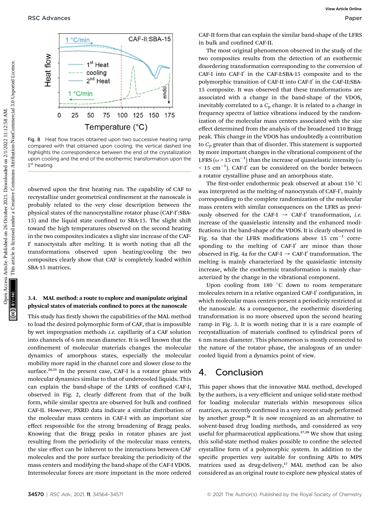

Fig. 8 Heat flow traces obtained upon two successive heating ramp compared with that obtained upon cooling; the vertical dashed line highlights the correspondence between the end of the crystallization upon cooling and the end of the exothermic transformation upon the  $1<sup>st</sup>$  heating

observed upon the first heating run. The capability of CAF to recrystallize under geometrical confinement at the nanoscale is probably related to the very close description between the physical states of the nanocrystalline rotator phase (CAF-I′:SBA-15) and the liquid state confined to SBA-15. The slight shift toward the high temperatures observed on the second heating in the two composites indicates a slight size increase of the CAF-I' nanocrystals after melting. It is worth noting that all the transformations observed upon heating/cooling the two composites clearly show that CAF is completely loaded within SBA-15 matrices.

#### 3.4. MAL method: a route to explore and manipulate original physical states of materials confined to pores at the nanoscale

This study has firstly shown the capabilities of the MAL method to load the desired polymorphic form of CAF, that is impossible by wet impregnation methods i.e. capillarity of a CAF solution into channels of 6 nm mean diameter. It is well known that the confinement of molecular materials changes the molecular dynamics of amorphous states, especially the molecular mobility more rapid in the channel core and slower close to the surface.<sup>24,25</sup> In the present case, CAF-I is a rotator phase with molecular dynamics similar to that of undercooled liquids. This can explain the band-shape of the LFRS of confined CAF-I, observed in Fig. 2, clearly different from that of the bulk form, while similar spectra are observed for bulk and confined CAF-II. However, PXRD data indicate a similar distribution of the molecular mass centers in CAF-I with an important size effect responsible for the strong broadening of Bragg peaks. Knowing that the Bragg peaks in rotator phases are just resulting from the periodicity of the molecular mass centers, the size effect can be inherent to the interactions between CAF molecules and the pore surface breaking the periodicity of the mass centers and modifying the band-shape of the CAF-I VDOS. Intermolecular forces are more important in the more ordered

CAF-II form that can explain the similar band-shape of the LFRS in bulk and confined CAF-II.

The most original phenomenon observed in the study of the two composites results from the detection of an exothermic disordering transformation corresponding to the conversion of CAF-I into CAF-I' in the CAF-I:SBA-15 composite and to the polymorphic transition of CAF-II into CAF-I' in the CAF-II:SBA-15 composite. It was observed that these transformations are associated with a change in the band-shape of the VDOS, inevitably correlated to a  $C<sub>p</sub>$  change. It is related to a change in frequency spectra of lattice vibrations induced by the randomization of the molecular mass centers associated with the size effect determined from the analysis of the broadened 110 Bragg peak. This change in the VDOS has undoubtedly a contribution to  $C_p$  greater than that of disorder. This statement is supported by more important changes in the vibrational component of the LFRS ( $\omega$  > 15 cm $^{-1})$  than the increase of quasielastic intensity ( $\omega$  $<$  15 cm<sup>-1</sup>). CAF-I' can be considered on the border between a rotator crystalline phase and an amorphous state. **Process Articles.** Published on 2021. The published on 2021. This article is likely are composite the space of  $\alpha$  and the space of  $\alpha$  and  $\alpha$  and  $\alpha$  and  $\alpha$  and  $\alpha$  and  $\alpha$  and  $\alpha$  and  $\alpha$  and  $\alpha$  and  $\alpha$  a

The first-order endothermic peak observed at about 150  $^{\circ}$ C was interpreted as the melting of nanocrystals of CAF-I′, mainly corresponding to the complete randomization of the molecular mass centers with similar consequences on the LFRS as previously observed for the CAF-I  $\rightarrow$  CAF-I' transformation, i.e. increase of the quasielastic intensity and the enhanced modi fications in the band-shape of the VDOS. It is clearly observed in Fig. 6a that the LFRS modifications above 15  $cm^{-1}$  corresponding to the melting of  $CAF-I'$  are minor than those observed in Fig. 4a for the CAF-I  $\rightarrow$  CAF-I' transformation. The melting is mainly characterized by the quasielastic intensity increase, while the exothermic transformation is mainly characterized by the change in the vibrational component.

Upon cooling from  $180\degree C$  down to room temperature molecules return in a relative organized CAF-I' configuration, in which molecular mass centers present a periodicity restricted at the nanoscale. As a consequence, the exothermic disordering transformation is no more observed upon the second heating ramp in Fig. 3. It is worth noting that it is a rare example of recrystallization of materials confined to cylindrical pores of 6 nm mean diameter. This phenomenon is mostly connected to the nature of the rotator phase, the analogous of an undercooled liquid from a dynamics point of view.

### 4. Conclusion

This paper shows that the innovative MAL method, developed by the authors, is a very efficient and unique solid-state method for loading molecular materials within mesoporous silica matrices, as recently confirmed in a very recent study performed by another group.<sup>26</sup> It is now recognized as an alternative to solvent-based drug loading methods, and considered as very useful for pharmaceutical applications.<sup>27,28</sup> We show that using this solid-state method makes possible to confine the selected crystalline form of a polymorphic system. In addition to the specific properties very suitable for confining APIs to MPS matrices used as drug-delivery,<sup>17</sup> MAL method can be also considered as an original route to explore new physical states of